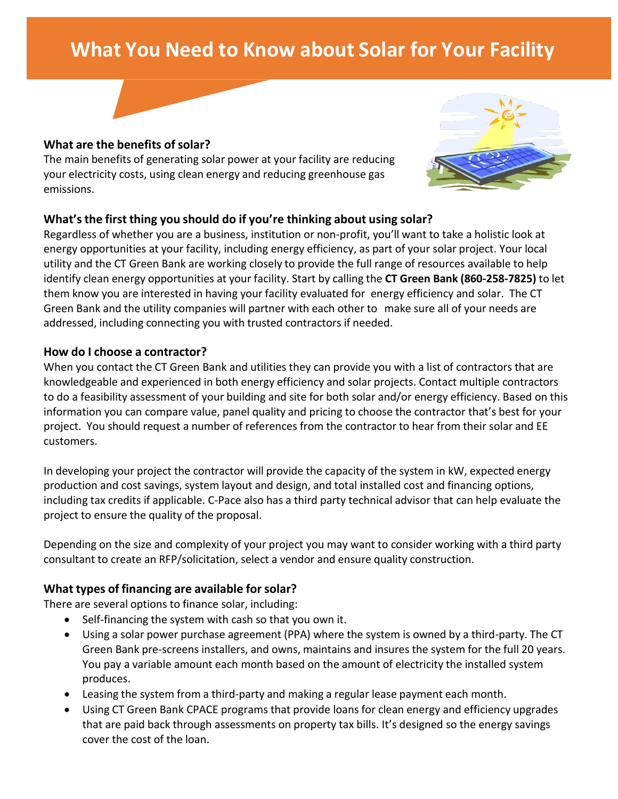# **What You Need to Know about Solar for Your Facility**



#### **What** are the benefits of solar?

The main benefits of generating solar power at your facility are reducing your electricity costs, using clean energy and reducing greenhouse gas emissions.



#### **What'sthe first thing you should do if you're thinking about using solar?**

Regardless of whether you are a business, institution or non-profit, you'll want to take a holistic look at energy opportunities at your facility, including energy efficiency, as part of your solar project. Your local utility and the CT Green Bank are working closely to provide the full range of resources available to help identify clean energy opportunities at your facility. Start by calling the **CT Green Bank (860-258-7825)** to let them know you are interested in having your facility evaluated for energy efficiency and solar. The CT Green Bank and the utility companies will partner with each other to make sure all of your needs are addressed, including connecting you with trusted contractors if needed.

#### **How do I choose a contractor?**

When you contact the CT Green Bank and utilities they can provide you with a list of contractors that are knowledgeable and experienced in both energy efficiency and solar projects. Contact multiple contractors to do a feasibility assessment of your building and site for both solar and/or energy efficiency. Based on this information you can compare value, panel quality and pricing to choose the contractor that's best for your project. You should request a number of references from the contractor to hear from their solar and EE customers.

In developing your project the contractor will provide the capacity of the system in kW, expected energy production and cost savings, system layout and design, and total installed cost and financing options, including tax credits if applicable. C-Pace also has a third party technical advisor that can help evaluate the project to ensure the quality of the proposal.

Depending on the size and complexity of your project you may want to consider working with a third party consultant to create an RFP/solicitation, select a vendor and ensure quality construction.

## **What types of financing are available forsolar?**

There are several options to finance solar, including:

- Self-financing the system with cash so that you own it.
- Using a solar power purchase agreement (PPA) where the system is owned by a third-party. The CT Green Bank pre-screens installers, and owns, maintains and insures the system for the full 20 years. You pay a variable amount each month based on the amount of electricity the installed system produces.
- Leasing the system from a third-party and making a regular lease payment each month.
- Using CT Green Bank CPACE programs that provide loans for clean energy and efficiency upgrades that are paid back through assessments on property tax bills. It's designed so the energy savings cover the cost of the loan.